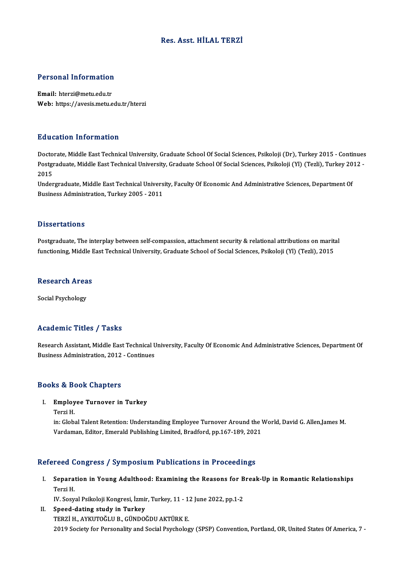## Res. Asst.HİLAL TERZİ

# Personal Information

Personal Information<br>Email: hterzi@metu.edu.tr<br>Web: https://avesis.metu.e Email: hterzi@metu.edu.tr<br>Web: https://avesis.metu.edu.tr/hterzi

### Education Information

**Education Information<br>Doctorate, Middle East Technical University, Graduate School Of Social Sciences, Psikoloji (Dr), Turkey 2015 - Continues<br>Postsraduate Middle East Technical University, Graduate School Of Social Scien** Pu u custon Timot Inuston<br>Doctorate, Middle East Technical University, Graduate School Of Social Sciences, Psikoloji (Dr), Turkey 2015 - Continues<br>Postgraduate, Middle East Technical University, Graduate School Of Social S Docto<br>Postgi<br>2015<br>Under Postgraduate, Middle East Technical University, Graduate School Of Social Sciences, Psikoloji (Yl) (Tezli), Turkey 20<br>2015<br>Undergraduate, Middle East Technical University, Faculty Of Economic And Administrative Sciences, D

2015<br>Undergraduate, Middle East Technical Univers<br>Business Administration, Turkey 2005 - 2011 Business Administration, Turkey 2005 - 2011<br>Dissertations

Dissertations<br>Postgraduate, The interplay between self-compassion, attachment security & relational attributions on marital<br>functioning Middle Feet Technicel University, Creduate School of Seciel Sciences, Peikoleji (XI) ( Bassea tatronis<br>Postgraduate, The interplay between self-compassion, attachment security & relational attributions on marit:<br>functioning, Middle East Technical University, Graduate School of Social Sciences, Psikoloji (Yl) functioning, Middle East Technical University, Graduate School of Social Sciences, Psikoloji (Yl) (Tezli), 2015<br>Research Areas

Social Psychology

### Academic Titles / Tasks

Academic Titles / Tasks<br>Research Assistant, Middle East Technical University, Faculty Of Economic And Administrative Sciences, Department Of<br>Rusiness Administration, 2012, Continues Research Assistant, Middle East Technical U<br>Business Administration, 2012 - Continues Business Administration, 2012 - Continues<br>Books & Book Chapters

## ooks & Book Chapters<br>I. Employee Turnover in Turkey<br>Torgi H Employ<br>Employ<br>Terzi H.<br>in: Clobi

Employee Turnover in Turkey<br>Terzi H.<br>in: Global Talent Retention: Understanding Employee Turnover Around the World, David G. Allen,James M.<br>Vardaman, Editor, Emerald Publishing Limited, Pradford, np.167,199,2021. Terzi H.<br>in: Global Talent Retention: Understanding Employee Turnover Around the V<br>Vardaman, Editor, Emerald Publishing Limited, Bradford, pp.167-189, 2021

# Vardaman, Editor, Emerald Publishing Limited, Bradford, pp.167-189, 2021<br>Refereed Congress / Symposium Publications in Proceedings

efereed Congress / Symposium Publications in Proceedings<br>I. Separation in Young Adulthood: Examining the Reasons for Break-Up in Romantic Relationships<br>Torri H reed<br>Separa<br>Terzi H. Separation in Young Adulthood: Examining the Reasons for B<br>Terzi H.<br>IV. Sosyal Psikoloji Kongresi, İzmir, Turkey, 11 - 12 June 2022, pp.1-2<br>Speed dating study in Turkey.

IV. Sosyal Psikoloji Kongresi, İzmir, Turkey, 11 - 12 June 2022, pp.1-2

Terzi H.<br>IV. Sosyal Psikoloji Kongresi, İzmir, Turkey, 11 - 1:<br>II. Speed-dating study in Turkey<br>TERZİ H., AYKUTOĞLU B., GÜNDOĞDU AKTÜRK E. 2019 Society for Personality and Social Psychology (SPSP) Convention, Portland, OR, United States Of America, 7 -